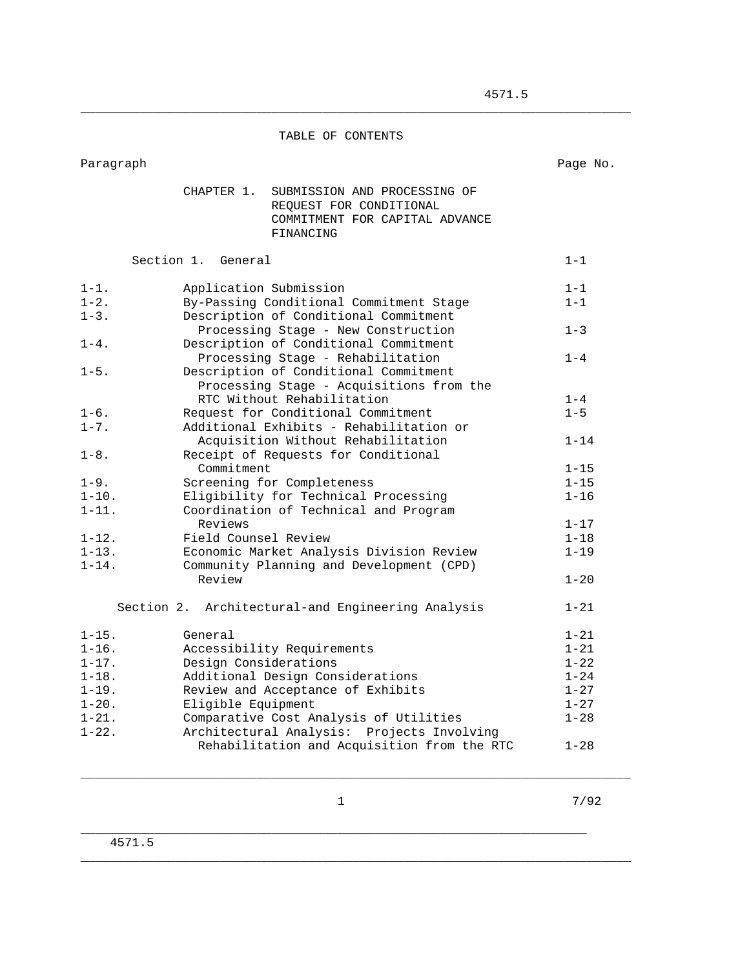## TABLE OF CONTENTS

\_\_\_\_\_\_\_\_\_\_\_\_\_\_\_\_\_\_\_\_\_\_\_\_\_\_\_\_\_\_\_\_\_\_\_\_\_\_\_\_\_\_\_\_\_\_\_\_\_\_\_\_\_\_\_\_\_\_\_\_\_\_\_\_\_\_\_\_\_\_\_\_\_\_\_

Paragraph Page No.

|                          | CHAPTER 1.<br>SUBMISSION AND PROCESSING OF<br>REQUEST FOR CONDITIONAL<br>COMMITMENT FOR CAPITAL ADVANCE<br>FINANCING |                      |
|--------------------------|----------------------------------------------------------------------------------------------------------------------|----------------------|
|                          | Section 1. General                                                                                                   | $1 - 1$              |
| $1 - 1$ .                | Application Submission                                                                                               | $1 - 1$              |
| $1 - 2$ .<br>$1 - 3$ .   | By-Passing Conditional Commitment Stage<br>Description of Conditional Commitment                                     | $1 - 1$              |
|                          | Processing Stage - New Construction                                                                                  | $1 - 3$              |
| $1 - 4$ .                | Description of Conditional Commitment                                                                                |                      |
|                          | Processing Stage - Rehabilitation                                                                                    | $1 - 4$              |
| $1 - 5$ .                | Description of Conditional Commitment                                                                                |                      |
|                          | Processing Stage - Acquisitions from the<br>RTC Without Rehabilitation                                               | $1 - 4$              |
| $1 - 6$ .                | Request for Conditional Commitment                                                                                   | $1 - 5$              |
| $1 - 7$ .                | Additional Exhibits - Rehabilitation or                                                                              |                      |
|                          | Acquisition Without Rehabilitation                                                                                   | $1 - 14$             |
| $1 - 8$ .                | Receipt of Requests for Conditional                                                                                  |                      |
| $1 - 9$ .                | Commitment<br>Screening for Completeness                                                                             | $1 - 15$<br>$1 - 15$ |
| $1 - 10$ .               | Eligibility for Technical Processing                                                                                 | $1 - 16$             |
| $1 - 11.$                | Coordination of Technical and Program                                                                                |                      |
|                          | Reviews                                                                                                              | $1 - 17$             |
| $1 - 12$ .               | Field Counsel Review                                                                                                 | $1 - 18$             |
| $1 - 13$ .               | Economic Market Analysis Division Review                                                                             | $1 - 19$             |
| $1 - 14$ .               | Community Planning and Development (CPD)<br>Review                                                                   | $1 - 20$             |
|                          |                                                                                                                      |                      |
|                          | Section 2. Architectural-and Engineering Analysis                                                                    | $1 - 21$             |
| $1 - 15$ .               | General                                                                                                              | $1 - 21$             |
| $1 - 16$ .               | Accessibility Requirements                                                                                           | $1 - 21$             |
| $1 - 17$ .               | Design Considerations                                                                                                | $1 - 22$             |
| $1 - 18$ .               | Additional Design Considerations                                                                                     | $1 - 24$             |
| $1 - 19$ .               | Review and Acceptance of Exhibits                                                                                    | $1 - 27$             |
| $1 - 20$ .<br>$1 - 21$ . | Eligible Equipment<br>Comparative Cost Analysis of Utilities                                                         | $1 - 27$<br>$1 - 28$ |
| $1 - 22$ .               | Architectural Analysis: Projects Involving                                                                           |                      |
|                          | Rehabilitation and Acquisition from the RTC                                                                          | $1 - 28$             |
|                          |                                                                                                                      |                      |

\_\_\_\_\_\_\_\_\_\_\_\_\_\_\_\_\_\_\_\_\_\_\_\_\_\_\_\_\_\_\_\_\_\_\_\_\_\_\_\_\_\_\_\_\_\_\_\_\_\_\_\_\_\_\_\_\_\_\_\_\_\_\_\_\_\_\_\_\_

\_\_\_\_\_\_\_\_\_\_\_\_\_\_\_\_\_\_\_\_\_\_\_\_\_\_\_\_\_\_\_\_\_\_\_\_\_\_\_\_\_\_\_\_\_\_\_\_\_\_\_\_\_\_\_\_\_\_\_\_\_\_\_\_\_\_\_\_\_\_\_\_\_\_\_

1 7/92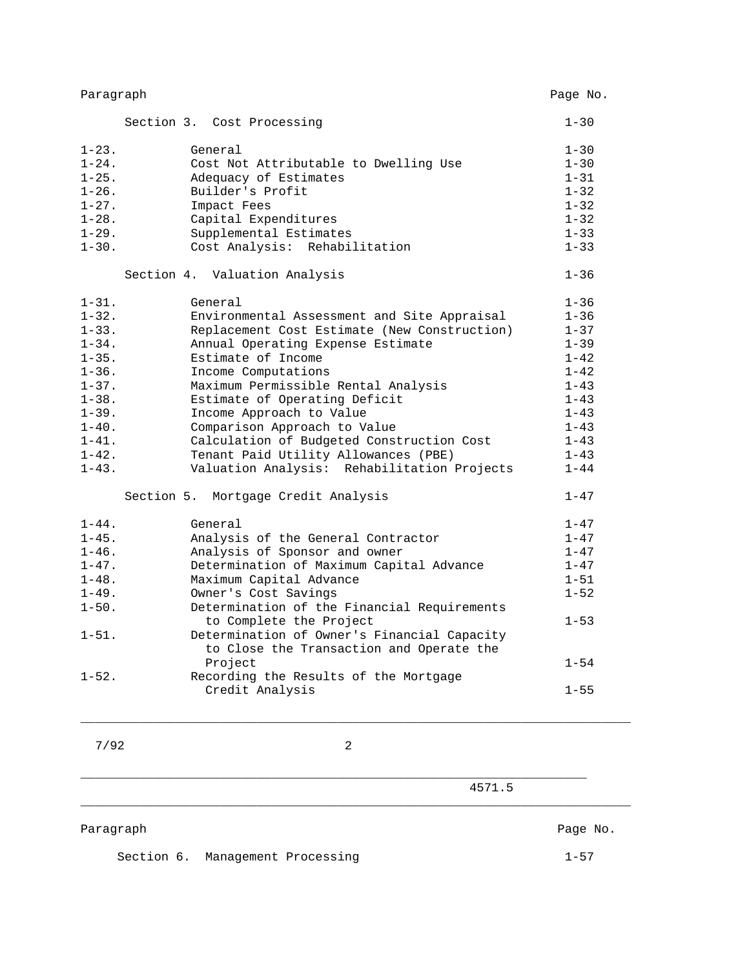| Paragraph  |                                                                                     | Page No. |
|------------|-------------------------------------------------------------------------------------|----------|
|            | Section 3. Cost Processing                                                          | $1 - 30$ |
| $1 - 23$ . | General                                                                             | $1 - 30$ |
| $1 - 24$ . | Cost Not Attributable to Dwelling Use                                               | $1 - 30$ |
| $1 - 25$ . | Adequacy of Estimates                                                               | $1 - 31$ |
| $1 - 26$ . | Builder's Profit                                                                    | $1 - 32$ |
| $1 - 27$ . | Impact Fees                                                                         | $1 - 32$ |
| $1 - 28$ . | Capital Expenditures                                                                | $1 - 32$ |
| $1 - 29.$  | Supplemental Estimates                                                              | $1 - 33$ |
| $1 - 30$ . | Cost Analysis: Rehabilitation                                                       | $1 - 33$ |
|            | Section 4. Valuation Analysis                                                       | $1 - 36$ |
| $1 - 31$ . | General                                                                             | $1 - 36$ |
| $1 - 32$ . | Environmental Assessment and Site Appraisal                                         | $1 - 36$ |
| $1 - 33$ . | Replacement Cost Estimate (New Construction)                                        | $1 - 37$ |
| $1 - 34$ . | Annual Operating Expense Estimate                                                   | $1 - 39$ |
| $1 - 35$ . | Estimate of Income                                                                  | $1 - 42$ |
| $1 - 36$ . | Income Computations                                                                 | $1 - 42$ |
| $1 - 37$ . | Maximum Permissible Rental Analysis                                                 | $1 - 43$ |
| $1 - 38$ . | Estimate of Operating Deficit                                                       | $1 - 43$ |
| $1 - 39$ . | Income Approach to Value                                                            | $1 - 43$ |
| $1 - 40$ . | Comparison Approach to Value                                                        | $1 - 43$ |
| $1 - 41$ . | Calculation of Budgeted Construction Cost                                           | $1 - 43$ |
| $1 - 42$ . | Tenant Paid Utility Allowances (PBE)<br>Valuation Analysis: Rehabilitation Projects | $1 - 43$ |
| $1 - 43$ . |                                                                                     | $1 - 44$ |
|            | Section 5. Mortgage Credit Analysis                                                 | $1 - 47$ |
| $1 - 44$ . | General                                                                             | $1 - 47$ |
| $1 - 45$ . | Analysis of the General Contractor                                                  | $1 - 47$ |
| $1 - 46$ . | Analysis of Sponsor and owner                                                       | $1 - 47$ |
| $1 - 47$ . | Determination of Maximum Capital Advance                                            | $1 - 47$ |
| $1 - 48$ . | Maximum Capital Advance                                                             | $1 - 51$ |
| $1 - 49$ . | Owner's Cost Savings                                                                | $1 - 52$ |
| $1 - 50$ . | Determination of the Financial Requirements                                         |          |
|            | to Complete the Project                                                             | $1 - 53$ |
| $1 - 51$ . | Determination of Owner's Financial Capacity                                         |          |
|            | to Close the Transaction and Operate the                                            |          |
|            | Project                                                                             | $1 - 54$ |
| $1 - 52$ . | Recording the Results of the Mortgage                                               |          |
|            | Credit Analysis                                                                     | $1 - 55$ |

7/92 2

\_\_\_\_\_\_\_\_\_\_\_\_\_\_\_\_\_\_\_\_\_\_\_\_\_\_\_\_\_\_\_\_\_\_\_\_\_\_\_\_\_\_\_\_\_\_\_\_\_\_\_\_\_\_\_\_\_\_\_\_\_\_\_\_\_\_\_\_\_

\_\_\_\_\_\_\_\_\_\_\_\_\_\_\_\_\_\_\_\_\_\_\_\_\_\_\_\_\_\_\_\_\_\_\_\_\_\_\_\_\_\_\_\_\_\_\_\_\_\_\_\_\_\_\_\_\_\_\_\_\_\_\_\_\_\_\_\_\_\_\_\_\_\_\_

 4571.5 \_\_\_\_\_\_\_\_\_\_\_\_\_\_\_\_\_\_\_\_\_\_\_\_\_\_\_\_\_\_\_\_\_\_\_\_\_\_\_\_\_\_\_\_\_\_\_\_\_\_\_\_\_\_\_\_\_\_\_\_\_\_\_\_\_\_\_\_\_\_\_\_\_\_\_

Paragraph Page No.

Section 6. Management Processing 1-57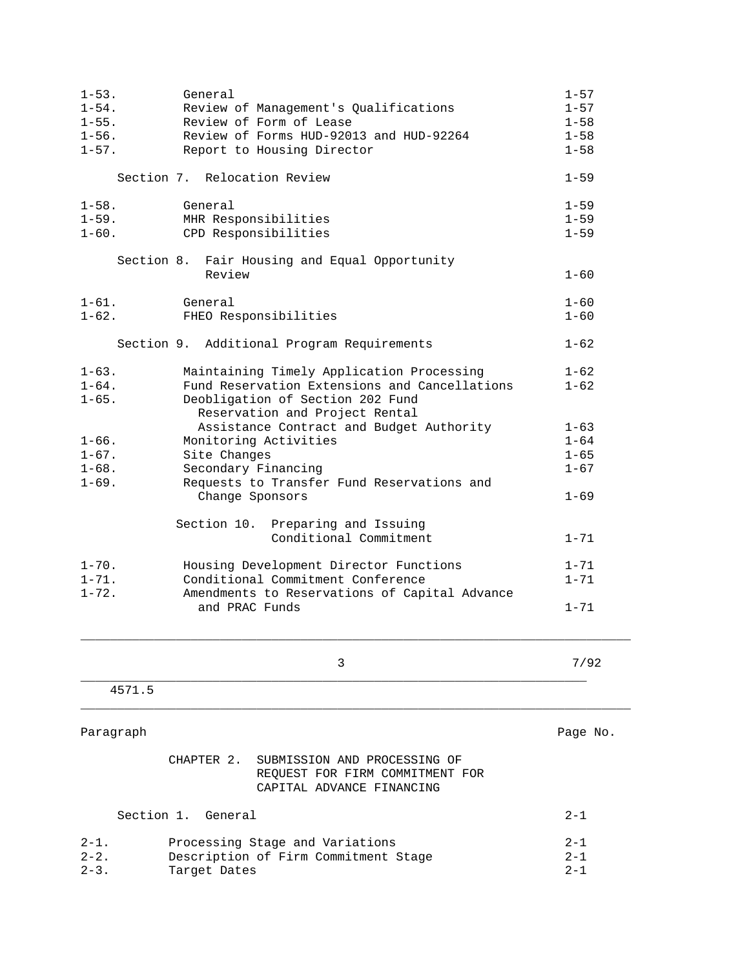| $1 - 53$ .<br>$1 - 54$ .<br>$1 - 55$ .<br>$1 - 56$ .<br>$1 - 57$ . | General<br>Review of Management's Qualifications<br>Review of Form of Lease<br>Review of Forms HUD-92013 and HUD-92264<br>Report to Housing Director                      | $1 - 57$<br>$1 - 57$<br>$1 - 58$<br>$1 - 58$<br>$1 - 58$ |
|--------------------------------------------------------------------|---------------------------------------------------------------------------------------------------------------------------------------------------------------------------|----------------------------------------------------------|
|                                                                    | Section 7. Relocation Review                                                                                                                                              | $1 - 59$                                                 |
| $1 - 58$ .<br>$1 - 59$ .<br>$1 - 60$ .                             | General<br>MHR Responsibilities<br>CPD Responsibilities<br>Section 8. Fair Housing and Equal Opportunity                                                                  | $1 - 59$<br>$1 - 59$<br>$1 - 59$                         |
|                                                                    | Review                                                                                                                                                                    | $1 - 60$                                                 |
| $1 - 61$ .<br>$1 - 62$ .                                           | General<br>FHEO Responsibilities<br>Section 9. Additional Program Requirements                                                                                            | $1 - 60$<br>$1 - 60$<br>$1 - 62$                         |
| $1 - 63$ .<br>$1 - 64$ .<br>$1 - 65$ .                             | Maintaining Timely Application Processing<br>Fund Reservation Extensions and Cancellations<br>Deobligation of Section 202 Fund<br>Reservation and Project Rental          | $1 - 62$<br>$1 - 62$                                     |
| $1 - 66$ .<br>$1 - 67$ .<br>$1 - 68$ .<br>$1 - 69$ .               | Assistance Contract and Budget Authority<br>Monitoring Activities<br>Site Changes<br>Secondary Financing<br>Requests to Transfer Fund Reservations and<br>Change Sponsors | $1 - 63$<br>$1 - 64$<br>$1 - 65$<br>$1 - 67$<br>$1 - 69$ |
|                                                                    | Section 10. Preparing and Issuing<br>Conditional Commitment                                                                                                               | $1 - 71$                                                 |
| $1 - 70$ .<br>$1 - 71.$<br>$1 - 72$ .                              | Housing Development Director Functions<br>Conditional Commitment Conference<br>Amendments to Reservations of Capital Advance<br>and PRAC Funds                            | $1 - 71$<br>$1 - 71$<br>$1 - 71$                         |
|                                                                    | 3                                                                                                                                                                         | 7/92                                                     |
| 4571.5                                                             |                                                                                                                                                                           |                                                          |
| Paragraph                                                          |                                                                                                                                                                           | Page No.                                                 |
|                                                                    | SUBMISSION AND PROCESSING OF<br>CHAPTER 2.<br>REQUEST FOR FIRM COMMITMENT FOR<br>CAPITAL ADVANCE FINANCING                                                                |                                                          |
| Section 1.                                                         | General                                                                                                                                                                   | $2 - 1$                                                  |
| $2 - 1$ .<br>$2 - 2$ .<br>$2 - 3$ .                                | Processing Stage and Variations<br>Description of Firm Commitment Stage<br>Target Dates                                                                                   | $2 - 1$<br>$2 - 1$<br>$2 - 1$                            |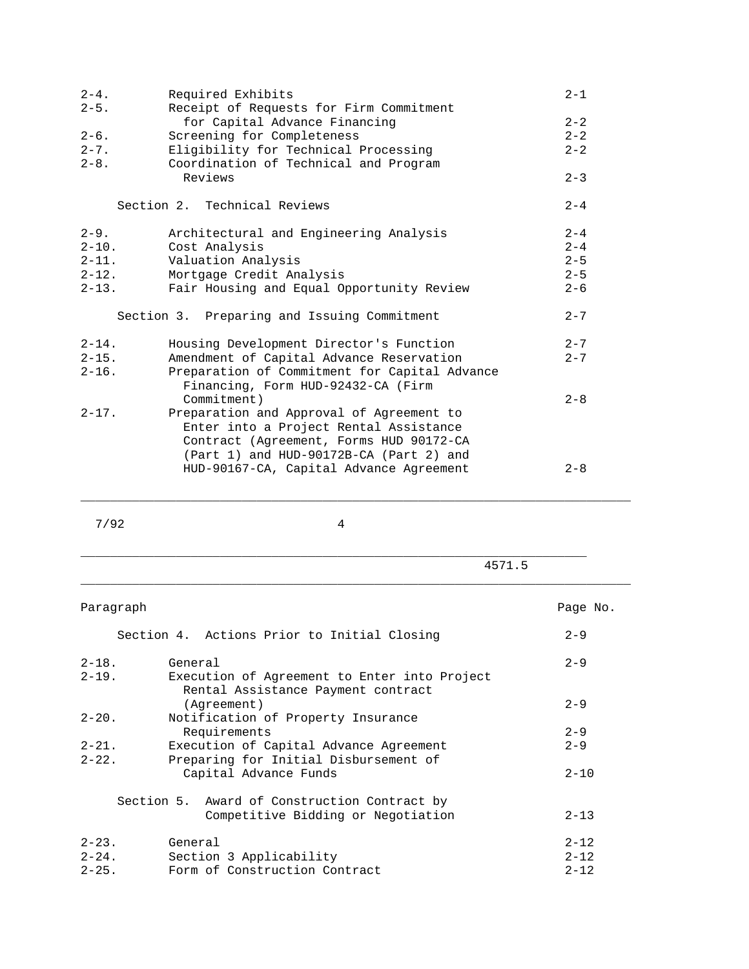| $2 - 4$ .  | Required Exhibits                                                                   | $2 - 1$ |
|------------|-------------------------------------------------------------------------------------|---------|
| $2 - 5$ .  | Receipt of Requests for Firm Commitment                                             |         |
|            | for Capital Advance Financing                                                       | $2 - 2$ |
| $2 - 6$ .  | Screening for Completeness                                                          | $2 - 2$ |
| $2 - 7$ .  | Eligibility for Technical Processing                                                | $2 - 2$ |
| $2 - 8$ .  | Coordination of Technical and Program                                               |         |
|            | Reviews                                                                             | $2 - 3$ |
|            | Section 2. Technical Reviews                                                        | $2 - 4$ |
| $2 - 9$ .  | Architectural and Engineering Analysis                                              | $2 - 4$ |
| $2 - 10$ . | Cost Analysis                                                                       | $2 - 4$ |
| $2 - 11.$  | Valuation Analysis                                                                  | $2 - 5$ |
| $2 - 12$ . | Mortgage Credit Analysis                                                            | $2 - 5$ |
| $2 - 13$ . | Fair Housing and Equal Opportunity Review                                           | $2 - 6$ |
|            | Section 3. Preparing and Issuing Commitment                                         | $2 - 7$ |
| $2 - 14$ . | Housing Development Director's Function                                             | $2 - 7$ |
| $2 - 15$ . | Amendment of Capital Advance Reservation                                            | $2 - 7$ |
| $2 - 16$ . | Preparation of Commitment for Capital Advance<br>Financing, Form HUD-92432-CA (Firm |         |
|            | Commitment)                                                                         | $2 - 8$ |
| $2 - 17$ . | Preparation and Approval of Agreement to<br>Enter into a Project Rental Assistance  |         |
|            | Contract (Agreement, Forms HUD 90172-CA                                             |         |
|            | (Part 1) and HUD-90172B-CA (Part 2) and                                             |         |
|            | HUD-90167-CA, Capital Advance Agreement                                             | $2 - 8$ |
|            |                                                                                     |         |

7/92 4

\_\_\_\_\_\_\_\_\_\_\_\_\_\_\_\_\_\_\_\_\_\_\_\_\_\_\_\_\_\_\_\_\_\_\_\_\_\_\_\_\_\_\_\_\_\_\_\_\_\_\_\_\_\_\_\_\_\_\_\_\_\_\_\_\_\_\_\_\_

\_\_\_\_\_\_\_\_\_\_\_\_\_\_\_\_\_\_\_\_\_\_\_\_\_\_\_\_\_\_\_\_\_\_\_\_\_\_\_\_\_\_\_\_\_\_\_\_\_\_\_\_\_\_\_\_\_\_\_\_\_\_\_\_\_\_\_\_\_\_\_\_\_\_\_

\_\_\_\_\_\_\_\_\_\_\_\_\_\_\_\_\_\_\_\_\_\_\_\_\_\_\_\_\_\_\_\_\_\_\_\_\_\_\_\_\_\_\_\_\_\_\_\_\_\_\_\_\_\_\_\_\_\_\_\_\_\_\_\_\_\_\_\_\_\_\_\_\_\_\_

4571.5

| Paragraph  |                                              | Page No. |
|------------|----------------------------------------------|----------|
|            | Section 4. Actions Prior to Initial Closing  | $2 - 9$  |
| $2 - 18$ . | General                                      | $2 - 9$  |
| $2 - 19.$  | Execution of Agreement to Enter into Project |          |
|            | Rental Assistance Payment contract           |          |
|            | (Agreement)                                  | $2 - 9$  |
| $2 - 20$ . | Notification of Property Insurance           |          |
|            | Requirements                                 | $2 - 9$  |
| $2 - 21$ . | Execution of Capital Advance Agreement       | $2 - 9$  |
| $2 - 22$ . | Preparing for Initial Disbursement of        |          |
|            | Capital Advance Funds                        | $2 - 10$ |
|            | Section 5. Award of Construction Contract by |          |
|            | Competitive Bidding or Negotiation           | $2 - 13$ |
| $2 - 23$ . | General                                      | $2 - 12$ |
| $2 - 24$ . | Section 3 Applicability                      | $2 - 12$ |
| $2 - 25$ . | Form of Construction Contract                | $2 - 12$ |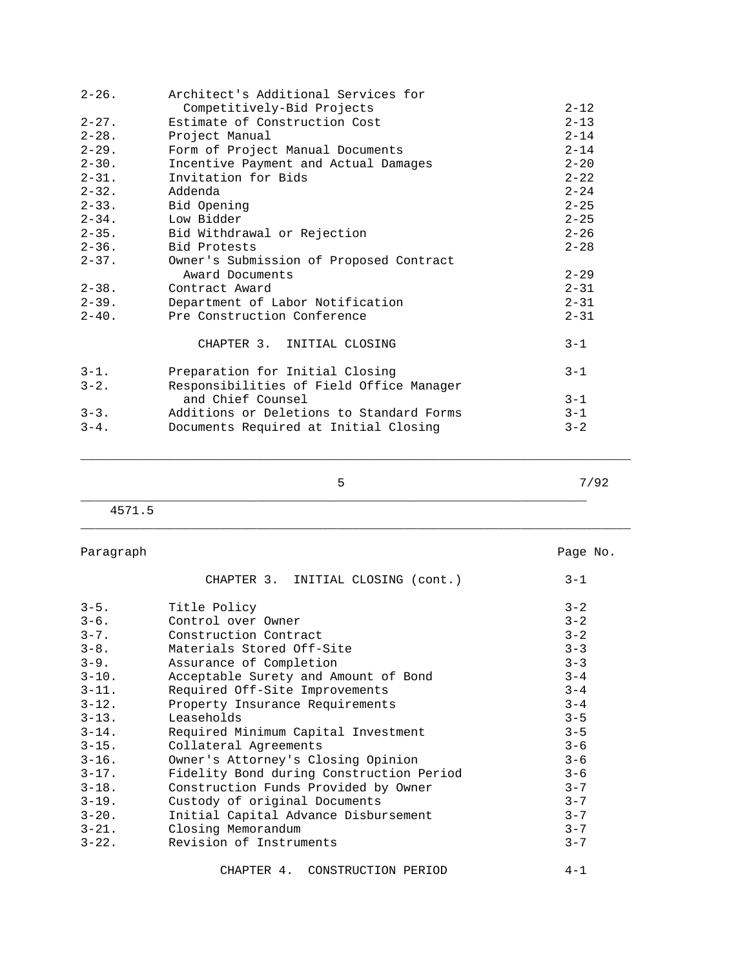| $2 - 26$ . | Architect's Additional Services for      |          |
|------------|------------------------------------------|----------|
|            | Competitively-Bid Projects               | $2 - 12$ |
| $2 - 27$ . | Estimate of Construction Cost            | $2 - 13$ |
| $2 - 28$ . | Project Manual                           | $2 - 14$ |
| $2 - 29$ . | Form of Project Manual Documents         | $2 - 14$ |
| $2 - 30$ . | Incentive Payment and Actual Damages     | $2 - 20$ |
| $2 - 31$ . | Invitation for Bids                      | $2 - 22$ |
| $2 - 32$ . | Addenda                                  | $2 - 24$ |
| $2 - 33.$  | Bid Opening                              | $2 - 25$ |
| $2 - 34$ . | Low Bidder                               | $2 - 25$ |
| $2 - 35$ . | Bid Withdrawal or Rejection              | $2 - 26$ |
| $2 - 36$ . | Bid Protests                             | $2 - 28$ |
| $2 - 37$ . | Owner's Submission of Proposed Contract  |          |
|            | Award Documents                          | $2 - 29$ |
| $2 - 38$ . | Contract Award                           | $2 - 31$ |
| $2 - 39$ . | Department of Labor Notification         | $2 - 31$ |
| $2 - 40$ . | Pre Construction Conference              | $2 - 31$ |
|            | CHAPTER 3. INITIAL CLOSING               | $3 - 1$  |
| $3 - 1$ .  | Preparation for Initial Closing          | $3 - 1$  |
| $3 - 2$ .  | Responsibilities of Field Office Manager |          |
|            | and Chief Counsel                        | $3 - 1$  |
| $3 - 3$ .  | Additions or Deletions to Standard Forms | $3 - 1$  |
| $3 - 4$ .  | Documents Required at Initial Closing    | $3 - 2$  |

\_\_\_\_\_\_\_\_\_\_\_\_\_\_\_\_\_\_\_\_\_\_\_\_\_\_\_\_\_\_\_\_\_\_\_\_\_\_\_\_\_\_\_\_\_\_\_\_\_\_\_\_\_\_\_\_\_\_\_\_\_\_\_\_\_\_\_\_\_

\_\_\_\_\_\_\_\_\_\_\_\_\_\_\_\_\_\_\_\_\_\_\_\_\_\_\_\_\_\_\_\_\_\_\_\_\_\_\_\_\_\_\_\_\_\_\_\_\_\_\_\_\_\_\_\_\_\_\_\_\_\_\_\_\_\_\_\_\_\_\_\_\_\_\_

 $5$  7/92

 4571.5 \_\_\_\_\_\_\_\_\_\_\_\_\_\_\_\_\_\_\_\_\_\_\_\_\_\_\_\_\_\_\_\_\_\_\_\_\_\_\_\_\_\_\_\_\_\_\_\_\_\_\_\_\_\_\_\_\_\_\_\_\_\_\_\_\_\_\_\_\_\_\_\_\_\_\_

| Paragraph  |                                          | Page No. |
|------------|------------------------------------------|----------|
|            | CHAPTER 3. INITIAL CLOSING (cont.)       | $3 - 1$  |
| $3 - 5$ .  | Title Policy                             | $3 - 2$  |
| $3 - 6$ .  | Control over Owner                       | $3 - 2$  |
| $3 - 7$ .  | Construction Contract                    | $3 - 2$  |
| $3 - 8$ .  | Materials Stored Off-Site                | $3 - 3$  |
| $3 - 9$ .  | Assurance of Completion                  | $3 - 3$  |
| $3 - 10$ . | Acceptable Surety and Amount of Bond     | $3 - 4$  |
| $3 - 11$ . | Required Off-Site Improvements           | $3 - 4$  |
| $3 - 12$ . | Property Insurance Requirements          | $3 - 4$  |
| $3 - 13$ . | Leaseholds                               | $3 - 5$  |
| $3 - 14$ . | Required Minimum Capital Investment      | $3 - 5$  |
| $3 - 15$ . | Collateral Agreements                    | $3 - 6$  |
| $3 - 16$ . | Owner's Attorney's Closing Opinion       | $3 - 6$  |
| $3 - 17$ . | Fidelity Bond during Construction Period | $3 - 6$  |
| $3 - 18$ . | Construction Funds Provided by Owner     | $3 - 7$  |
| $3 - 19$ . | Custody of original Documents            | $3 - 7$  |
| $3 - 20$ . | Initial Capital Advance Disbursement     | $3 - 7$  |
| $3 - 21$ . | Closing Memorandum                       | $3 - 7$  |
| $3 - 22$ . | Revision of Instruments                  | $3 - 7$  |

CHAPTER 4. CONSTRUCTION PERIOD 4-1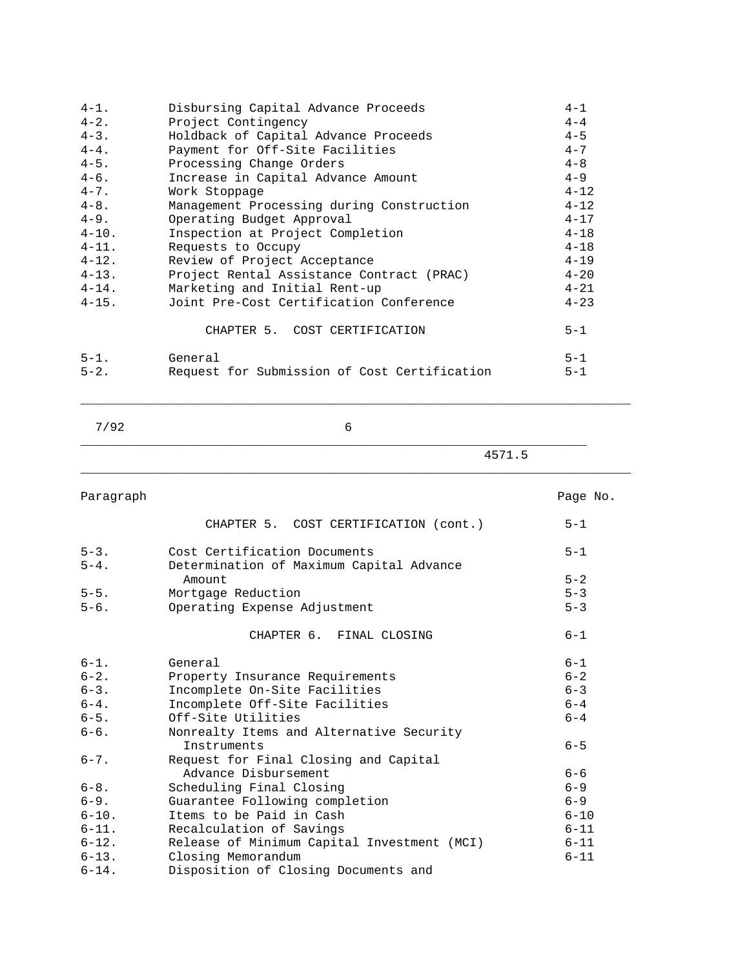| $4 - 1$ .  | Disbursing Capital Advance Proceeds          | $4 - 1$  |
|------------|----------------------------------------------|----------|
| $4 - 2$ .  | Project Contingency                          | $4 - 4$  |
| $4 - 3$ .  | Holdback of Capital Advance Proceeds         | $4 - 5$  |
| $4 - 4$ .  | Payment for Off-Site Facilities              | $4 - 7$  |
| $4 - 5$ .  | Processing Change Orders                     | $4 - 8$  |
| $4 - 6$ .  | Increase in Capital Advance Amount           | $4 - 9$  |
| $4 - 7$ .  | Work Stoppage                                | $4 - 12$ |
| $4 - 8$ .  | Management Processing during Construction    | $4 - 12$ |
| $4 - 9$ .  | Operating Budget Approval                    | $4 - 17$ |
| $4 - 10$ . | Inspection at Project Completion             | $4 - 18$ |
| $4 - 11$ . | Requests to Occupy                           | $4 - 18$ |
| $4 - 12$ . | Review of Project Acceptance                 | $4 - 19$ |
| $4 - 13$ . | Project Rental Assistance Contract (PRAC)    | $4 - 20$ |
| $4 - 14$ . | Marketing and Initial Rent-up                | $4 - 21$ |
| $4 - 15$ . | Joint Pre-Cost Certification Conference      | $4 - 23$ |
|            | CHAPTER 5. COST CERTIFICATION                | $5 - 1$  |
| $5 - 1$ .  | General                                      | $5 - 1$  |
| $5 - 2$ .  | Request for Submission of Cost Certification | $5 - 1$  |

\_\_\_\_\_\_\_\_\_\_\_\_\_\_\_\_\_\_\_\_\_\_\_\_\_\_\_\_\_\_\_\_\_\_\_\_\_\_\_\_\_\_\_\_\_\_\_\_\_\_\_\_\_\_\_\_\_\_\_\_\_\_\_\_\_\_\_\_\_

\_\_\_\_\_\_\_\_\_\_\_\_\_\_\_\_\_\_\_\_\_\_\_\_\_\_\_\_\_\_\_\_\_\_\_\_\_\_\_\_\_\_\_\_\_\_\_\_\_\_\_\_\_\_\_\_\_\_\_\_\_\_\_\_\_\_\_\_\_\_\_\_\_\_\_

\_\_\_\_\_\_\_\_\_\_\_\_\_\_\_\_\_\_\_\_\_\_\_\_\_\_\_\_\_\_\_\_\_\_\_\_\_\_\_\_\_\_\_\_\_\_\_\_\_\_\_\_\_\_\_\_\_\_\_\_\_\_\_\_\_\_\_\_\_\_\_\_\_\_\_

4571.5

| Paragraph  |                                             | Page No. |
|------------|---------------------------------------------|----------|
|            | CHAPTER 5. COST CERTIFICATION (cont.)       | $5 - 1$  |
| $5 - 3$ .  | Cost Certification Documents                | $5 - 1$  |
| $5 - 4$ .  | Determination of Maximum Capital Advance    |          |
|            | Amount                                      | $5 - 2$  |
| $5 - 5$ .  | Mortgage Reduction                          | $5 - 3$  |
| $5 - 6$ .  | Operating Expense Adjustment                | $5 - 3$  |
|            | CHAPTER 6. FINAL CLOSING                    | $6 - 1$  |
| $6 - 1$ .  | General                                     | $6 - 1$  |
| $6 - 2$ .  | Property Insurance Requirements             | $6 - 2$  |
| $6 - 3$ .  | Incomplete On-Site Facilities               | $6 - 3$  |
| $6 - 4$ .  | Incomplete Off-Site Facilities              | $6 - 4$  |
| $6 - 5$ .  | Off-Site Utilities                          | $6 - 4$  |
| $6 - 6$ .  | Nonrealty Items and Alternative Security    |          |
|            | Instruments                                 | $6 - 5$  |
| $6 - 7$ .  | Request for Final Closing and Capital       |          |
|            | Advance Disbursement                        | $6 - 6$  |
| $6 - 8$ .  | Scheduling Final Closing                    | $6 - 9$  |
| $6 - 9$ .  | Guarantee Following completion              | $6 - 9$  |
| $6 - 10$ . | Items to be Paid in Cash                    | $6 - 10$ |
| $6 - 11$ . | Recalculation of Savings                    | $6 - 11$ |
| $6 - 12$ . | Release of Minimum Capital Investment (MCI) | $6 - 11$ |
| $6 - 13$ . | Closing Memorandum                          | $6 - 11$ |
| $6 - 14$ . | Disposition of Closing Documents and        |          |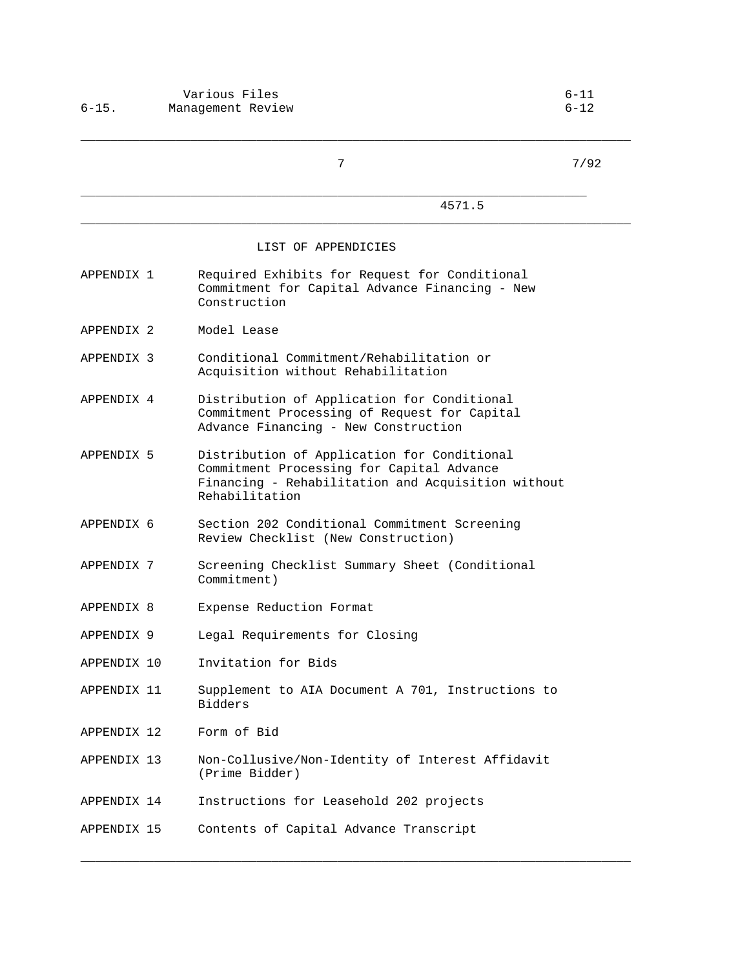|                       | 7                                                                                                                                                                | 7/92 |
|-----------------------|------------------------------------------------------------------------------------------------------------------------------------------------------------------|------|
|                       | 4571.5                                                                                                                                                           |      |
|                       | LIST OF APPENDICIES                                                                                                                                              |      |
| APPENDIX 1            | Required Exhibits for Request for Conditional<br>Commitment for Capital Advance Financing - New<br>Construction                                                  |      |
| APPENDIX 2            | Model Lease                                                                                                                                                      |      |
| APPENDIX <sub>3</sub> | Conditional Commitment/Rehabilitation or<br>Acquisition without Rehabilitation                                                                                   |      |
| APPENDIX 4            | Distribution of Application for Conditional<br>Commitment Processing of Request for Capital<br>Advance Financing - New Construction                              |      |
| APPENDIX 5            | Distribution of Application for Conditional<br>Commitment Processing for Capital Advance<br>Financing - Rehabilitation and Acquisition without<br>Rehabilitation |      |
| APPENDIX 6            | Section 202 Conditional Commitment Screening<br>Review Checklist (New Construction)                                                                              |      |
| APPENDIX 7            | Screening Checklist Summary Sheet (Conditional<br>Commitment)                                                                                                    |      |
| APPENDIX 8            | Expense Reduction Format                                                                                                                                         |      |
| APPENDIX 9            | Legal Requirements for Closing                                                                                                                                   |      |
| APPENDIX 10           | Invitation for Bids                                                                                                                                              |      |
| APPENDIX 11           | Supplement to AIA Document A 701, Instructions to<br><b>Bidders</b>                                                                                              |      |
| APPENDIX 12           | Form of Bid                                                                                                                                                      |      |
| APPENDIX 13           | Non-Collusive/Non-Identity of Interest Affidavit<br>(Prime Bidder)                                                                                               |      |
| APPENDIX 14           | Instructions for Leasehold 202 projects                                                                                                                          |      |
| APPENDIX 15           | Contents of Capital Advance Transcript                                                                                                                           |      |

\_\_\_\_\_\_\_\_\_\_\_\_\_\_\_\_\_\_\_\_\_\_\_\_\_\_\_\_\_\_\_\_\_\_\_\_\_\_\_\_\_\_\_\_\_\_\_\_\_\_\_\_\_\_\_\_\_\_\_\_\_\_\_\_\_\_\_\_\_\_\_\_\_\_\_